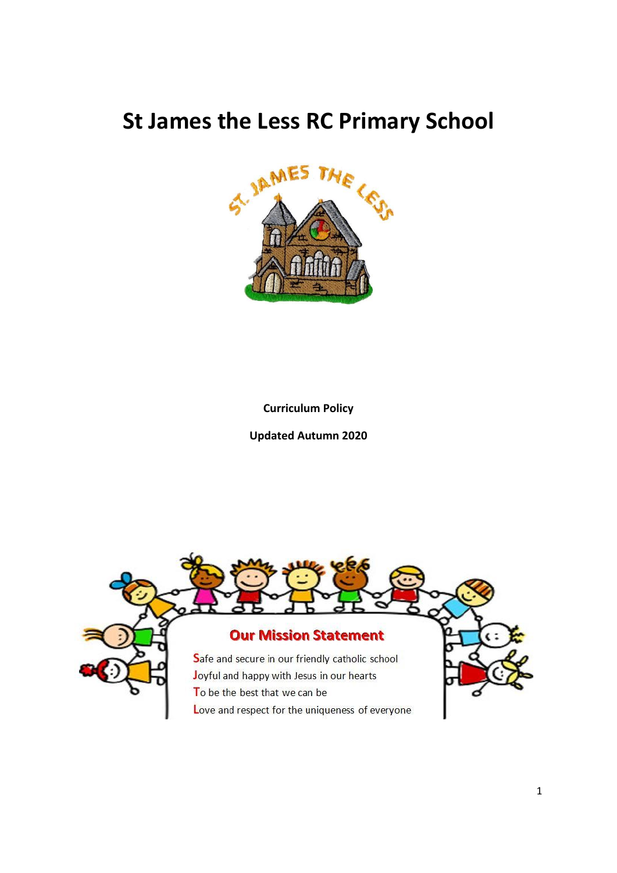# **St James the Less RC Primary School**



**Curriculum Policy**

**Updated Autumn 2020**

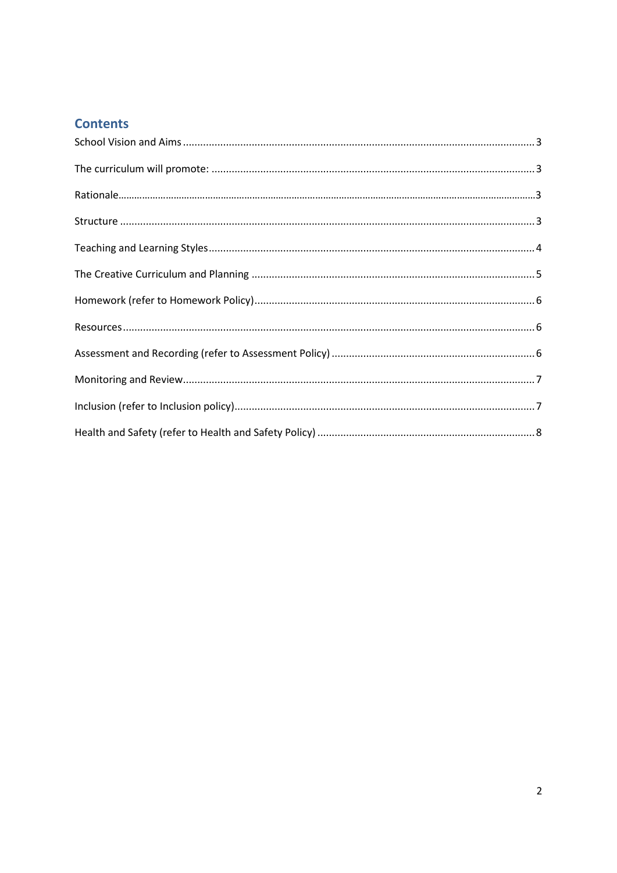### **Contents**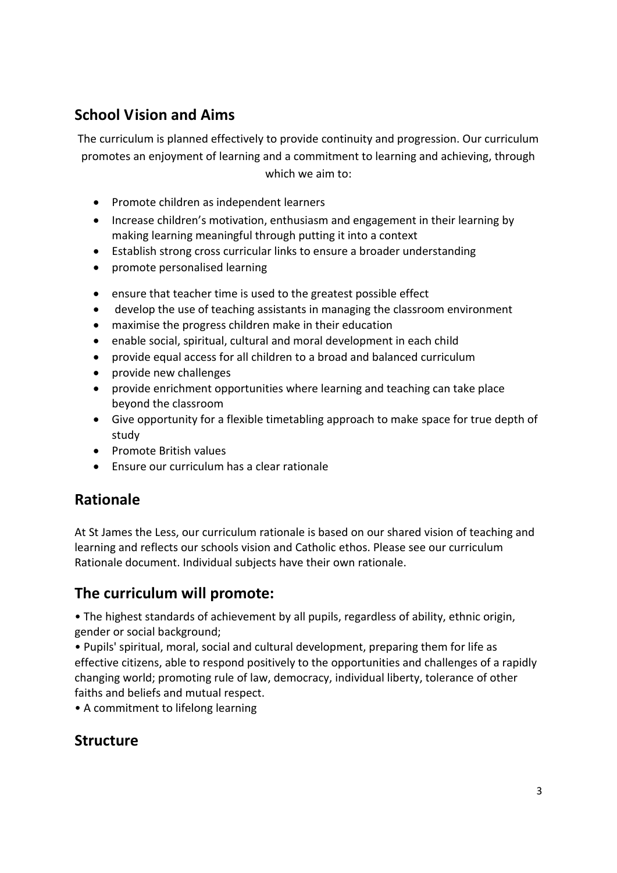# <span id="page-2-0"></span>**School Vision and Aims**

The curriculum is planned effectively to provide continuity and progression. Our curriculum promotes an enjoyment of learning and a commitment to learning and achieving, through which we aim to:

- Promote children as independent learners
- Increase children's motivation, enthusiasm and engagement in their learning by making learning meaningful through putting it into a context
- Establish strong cross curricular links to ensure a broader understanding
- promote personalised learning
- ensure that teacher time is used to the greatest possible effect
- develop the use of teaching assistants in managing the classroom environment
- maximise the progress children make in their education
- enable social, spiritual, cultural and moral development in each child
- provide equal access for all children to a broad and balanced curriculum
- provide new challenges
- provide enrichment opportunities where learning and teaching can take place beyond the classroom
- Give opportunity for a flexible timetabling approach to make space for true depth of study
- Promote British values
- Ensure our curriculum has a clear rationale

#### **Rationale**

At St James the Less, our curriculum rationale is based on our shared vision of teaching and learning and reflects our schools vision and Catholic ethos. Please see our curriculum Rationale document. Individual subjects have their own rationale.

## <span id="page-2-1"></span>**The curriculum will promote:**

• The highest standards of achievement by all pupils, regardless of ability, ethnic origin, gender or social background;

• Pupils' spiritual, moral, social and cultural development, preparing them for life as effective citizens, able to respond positively to the opportunities and challenges of a rapidly changing world; promoting rule of law, democracy, individual liberty, tolerance of other faiths and beliefs and mutual respect.

• A commitment to lifelong learning

## <span id="page-2-2"></span>**Structure**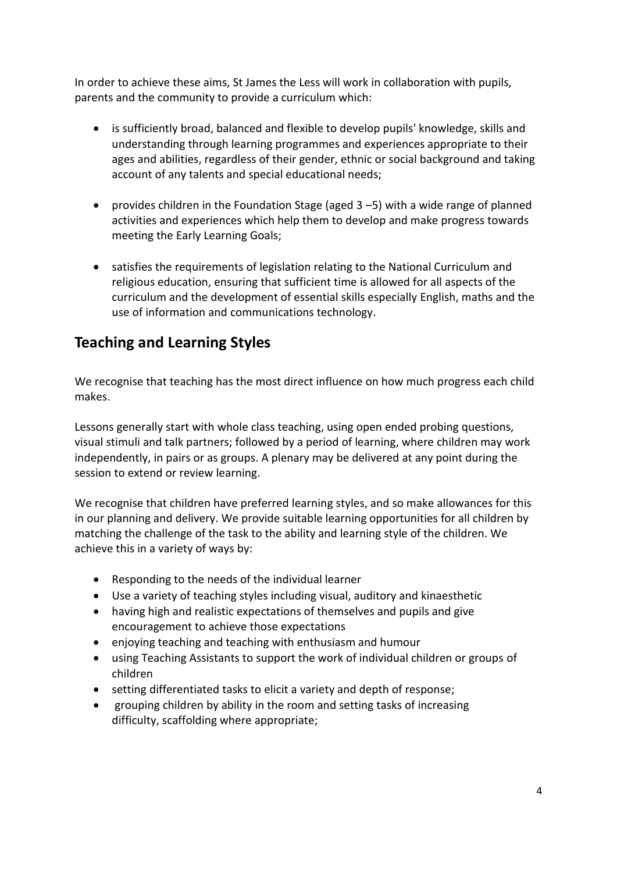In order to achieve these aims, St James the Less will work in collaboration with pupils, parents and the community to provide a curriculum which:

- is sufficiently broad, balanced and flexible to develop pupils' knowledge, skills and understanding through learning programmes and experiences appropriate to their ages and abilities, regardless of their gender, ethnic or social background and taking account of any talents and special educational needs;
- provides children in the Foundation Stage (aged  $3 5$ ) with a wide range of planned activities and experiences which help them to develop and make progress towards meeting the Early Learning Goals;
- satisfies the requirements of legislation relating to the National Curriculum and religious education, ensuring that sufficient time is allowed for all aspects of the curriculum and the development of essential skills especially English, maths and the use of information and communications technology.

## <span id="page-3-0"></span>**Teaching and Learning Styles**

We recognise that teaching has the most direct influence on how much progress each child makes.

Lessons generally start with whole class teaching, using open ended probing questions, visual stimuli and talk partners; followed by a period of learning, where children may work independently, in pairs or as groups. A plenary may be delivered at any point during the session to extend or review learning.

We recognise that children have preferred learning styles, and so make allowances for this in our planning and delivery. We provide suitable learning opportunities for all children by matching the challenge of the task to the ability and learning style of the children. We achieve this in a variety of ways by:

- Responding to the needs of the individual learner
- Use a variety of teaching styles including visual, auditory and kinaesthetic
- having high and realistic expectations of themselves and pupils and give encouragement to achieve those expectations
- enjoying teaching and teaching with enthusiasm and humour
- using Teaching Assistants to support the work of individual children or groups of children
- setting differentiated tasks to elicit a variety and depth of response;
- grouping children by ability in the room and setting tasks of increasing difficulty, scaffolding where appropriate;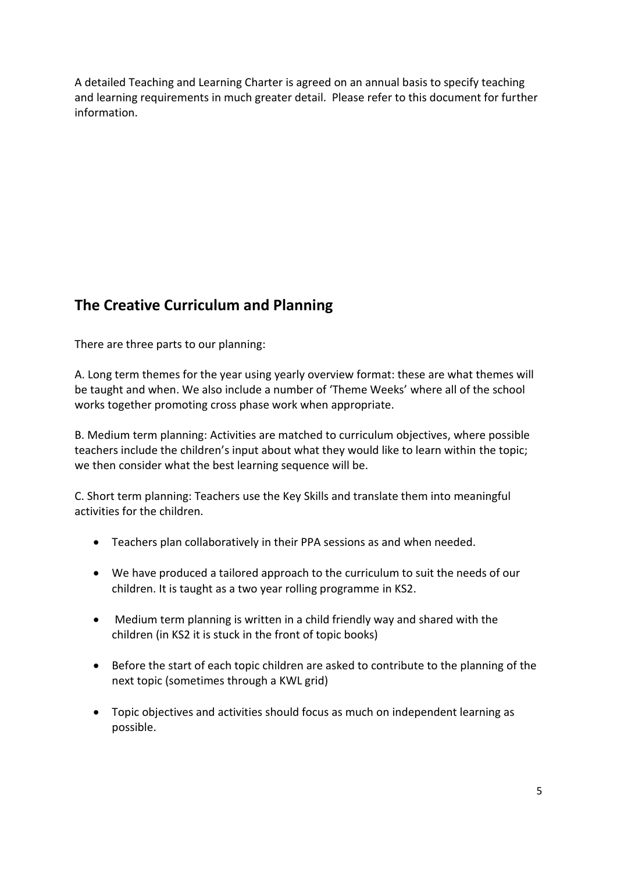A detailed Teaching and Learning Charter is agreed on an annual basis to specify teaching and learning requirements in much greater detail. Please refer to this document for further information.

# <span id="page-4-0"></span>**The Creative Curriculum and Planning**

There are three parts to our planning:

A. Long term themes for the year using yearly overview format: these are what themes will be taught and when. We also include a number of 'Theme Weeks' where all of the school works together promoting cross phase work when appropriate.

B. Medium term planning: Activities are matched to curriculum objectives, where possible teachers include the children's input about what they would like to learn within the topic; we then consider what the best learning sequence will be.

C. Short term planning: Teachers use the Key Skills and translate them into meaningful activities for the children.

- Teachers plan collaboratively in their PPA sessions as and when needed.
- We have produced a tailored approach to the curriculum to suit the needs of our children. It is taught as a two year rolling programme in KS2.
- Medium term planning is written in a child friendly way and shared with the children (in KS2 it is stuck in the front of topic books)
- Before the start of each topic children are asked to contribute to the planning of the next topic (sometimes through a KWL grid)
- Topic objectives and activities should focus as much on independent learning as possible.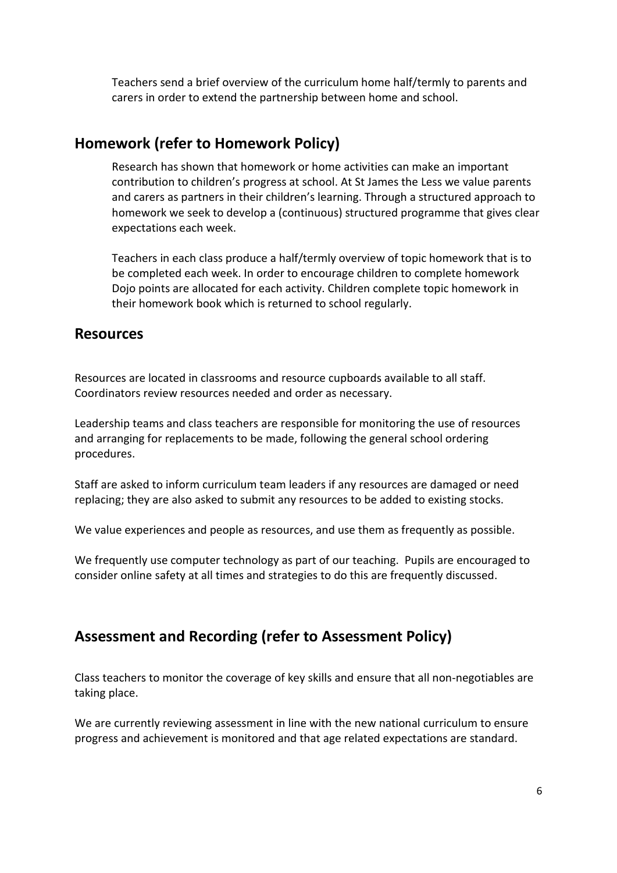Teachers send a brief overview of the curriculum home half/termly to parents and carers in order to extend the partnership between home and school.

#### <span id="page-5-0"></span>**Homework (refer to Homework Policy)**

Research has shown that homework or home activities can make an important contribution to children's progress at school. At St James the Less we value parents and carers as partners in their children's learning. Through a structured approach to homework we seek to develop a (continuous) structured programme that gives clear expectations each week.

Teachers in each class produce a half/termly overview of topic homework that is to be completed each week. In order to encourage children to complete homework Dojo points are allocated for each activity. Children complete topic homework in their homework book which is returned to school regularly.

#### <span id="page-5-1"></span>**Resources**

Resources are located in classrooms and resource cupboards available to all staff. Coordinators review resources needed and order as necessary.

Leadership teams and class teachers are responsible for monitoring the use of resources and arranging for replacements to be made, following the general school ordering procedures.

Staff are asked to inform curriculum team leaders if any resources are damaged or need replacing; they are also asked to submit any resources to be added to existing stocks.

We value experiences and people as resources, and use them as frequently as possible.

We frequently use computer technology as part of our teaching. Pupils are encouraged to consider online safety at all times and strategies to do this are frequently discussed.

# <span id="page-5-2"></span>**Assessment and Recording (refer to Assessment Policy)**

Class teachers to monitor the coverage of key skills and ensure that all non-negotiables are taking place.

We are currently reviewing assessment in line with the new national curriculum to ensure progress and achievement is monitored and that age related expectations are standard.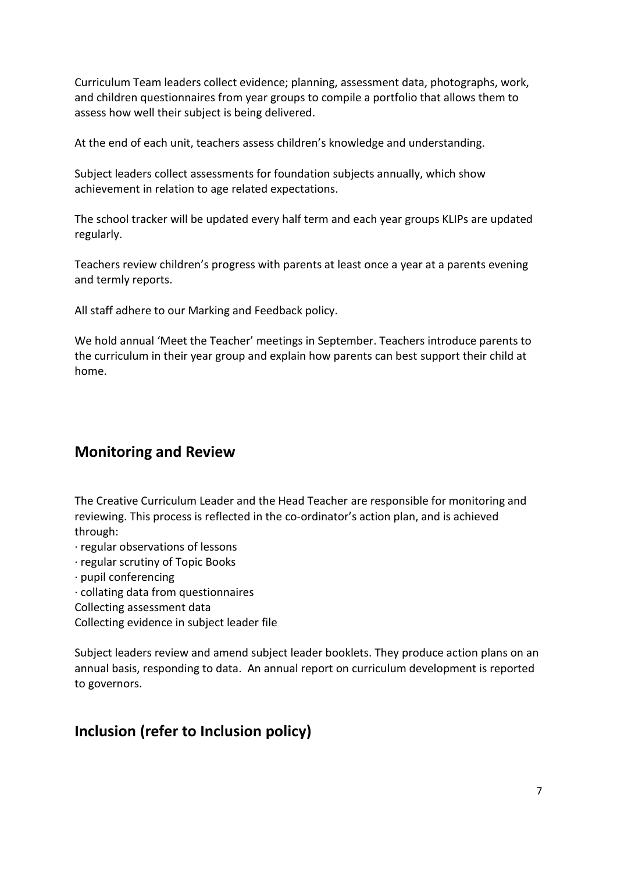Curriculum Team leaders collect evidence; planning, assessment data, photographs, work, and children questionnaires from year groups to compile a portfolio that allows them to assess how well their subject is being delivered.

At the end of each unit, teachers assess children's knowledge and understanding.

Subject leaders collect assessments for foundation subjects annually, which show achievement in relation to age related expectations.

The school tracker will be updated every half term and each year groups KLIPs are updated regularly.

Teachers review children's progress with parents at least once a year at a parents evening and termly reports.

All staff adhere to our Marking and Feedback policy.

We hold annual 'Meet the Teacher' meetings in September. Teachers introduce parents to the curriculum in their year group and explain how parents can best support their child at home.

#### <span id="page-6-0"></span>**Monitoring and Review**

The Creative Curriculum Leader and the Head Teacher are responsible for monitoring and reviewing. This process is reflected in the co-ordinator's action plan, and is achieved through:

- · regular observations of lessons
- · regular scrutiny of Topic Books
- · pupil conferencing
- · collating data from questionnaires
- Collecting assessment data

Collecting evidence in subject leader file

Subject leaders review and amend subject leader booklets. They produce action plans on an annual basis, responding to data. An annual report on curriculum development is reported to governors.

## <span id="page-6-1"></span>**Inclusion (refer to Inclusion policy)**